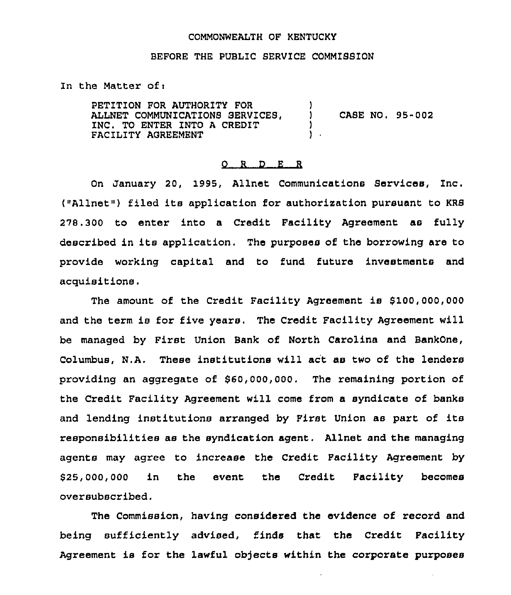## COMMONWEALTH QP KENTUCKY

## BEFORE THE PUBLIC SERVICE COMMISSION

In the Matter of <sup>i</sup>

PETITION FOR AUTHORITY FOR ALLNET COMMUNICATIONS SERVICES, INC. TO ENTER INTO A CREDIT FACILITY AGREEMENT  $\mathbf{)}$ ) CASE NO. 95-002  $\mathbf{)}$ .

## 0 <sup>R</sup> <sup>D</sup> <sup>E</sup> <sup>R</sup>

On January 20, 1995, Allnet Communications Services, Inc. ("Allnet") filed its application for authorization pursuant to KRS 278.300 to enter into a Credit Facility Agreement as fully described in its application. The purposes of the borrowing are to provide working capital and to fund future investments and acquisitions .

The amount of the Credit Facility Agreement is \$100,000,000 and the term is for five years, The Credit Facility Agreement will be managed by First Union Bank of North Carolina and BankOne, columbus, N,A. These institutions will act as two of the lenders providing an aggregate of \$60,000,000. The remaining portion of the credit Facility Agreement will come from a syndicate of banks and lending institutions arranged by Pirst Union as part of its responsibilities as the syndication agent. Allnet and the managing agents may agree to increase the Credit Pacility Agreement by \$25,000,000 in the event the Credit Facility become oversubscribed.

The Commission, having considered the evidence of record and being sufficiently advised, finds that the Credit Pacility Agreement is for the lawful objects within the corporate purposes